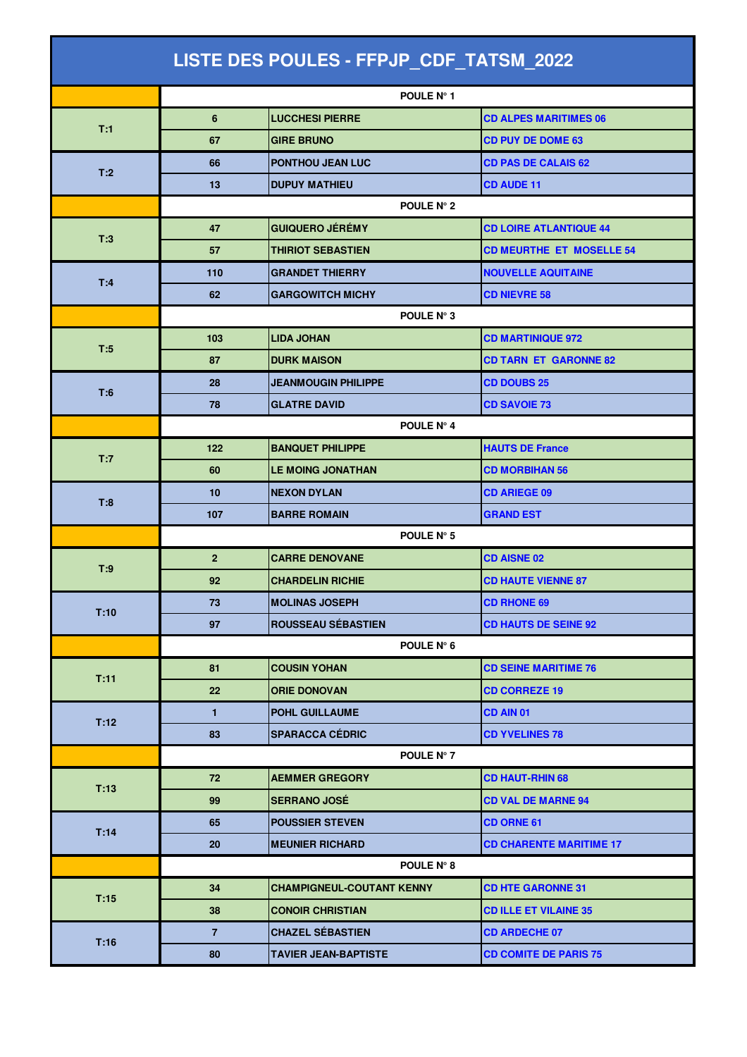| LISTE DES POULES - FFPJP_CDF_TATSM_2022 |                     |                                  |                                 |  |  |
|-----------------------------------------|---------------------|----------------------------------|---------------------------------|--|--|
|                                         |                     | POULE N° 1                       |                                 |  |  |
| T:1                                     | 6                   | <b>LUCCHESI PIERRE</b>           | <b>CD ALPES MARITIMES 06</b>    |  |  |
|                                         | 67                  | <b>GIRE BRUNO</b>                | <b>CD PUY DE DOME 63</b>        |  |  |
|                                         | 66                  | <b>PONTHOU JEAN LUC</b>          | <b>CD PAS DE CALAIS 62</b>      |  |  |
| T:2                                     | 13                  | <b>DUPUY MATHIEU</b>             | <b>CD AUDE 11</b>               |  |  |
|                                         | <b>POULE N° 2</b>   |                                  |                                 |  |  |
|                                         | 47                  | <b>GUIQUERO JÉRÉMY</b>           | <b>CD LOIRE ATLANTIQUE 44</b>   |  |  |
| T:3                                     | 57                  | <b>THIRIOT SEBASTIEN</b>         | <b>CD MEURTHE ET MOSELLE 54</b> |  |  |
| T:4                                     | 110                 | <b>GRANDET THIERRY</b>           | <b>NOUVELLE AQUITAINE</b>       |  |  |
|                                         | 62                  | <b>GARGOWITCH MICHY</b>          | <b>CD NIEVRE 58</b>             |  |  |
|                                         | POULE N° 3          |                                  |                                 |  |  |
| T:5                                     | 103                 | <b>LIDA JOHAN</b>                | <b>CD MARTINIQUE 972</b>        |  |  |
|                                         | 87                  | <b>DURK MAISON</b>               | <b>CD TARN ET GARONNE 82</b>    |  |  |
| T:6                                     | 28                  | <b>JEANMOUGIN PHILIPPE</b>       | <b>CD DOUBS 25</b>              |  |  |
|                                         | 78                  | <b>GLATRE DAVID</b>              | <b>CD SAVOIE 73</b>             |  |  |
|                                         |                     | POULE N° 4                       |                                 |  |  |
| T:7                                     | 122                 | <b>BANQUET PHILIPPE</b>          | <b>HAUTS DE France</b>          |  |  |
|                                         | 60                  | <b>LE MOING JONATHAN</b>         | <b>CD MORBIHAN 56</b>           |  |  |
| T:8                                     | 10                  | <b>NEXON DYLAN</b>               | <b>CD ARIEGE 09</b>             |  |  |
|                                         | 107                 | <b>BARRE ROMAIN</b>              | <b>GRAND EST</b>                |  |  |
|                                         | POULE N° 5          |                                  |                                 |  |  |
| T:9                                     | $\overline{2}$      | <b>CARRE DENOVANE</b>            | <b>CD AISNE 02</b>              |  |  |
|                                         | 92                  | <b>CHARDELIN RICHIE</b>          | <b>CD HAUTE VIENNE 87</b>       |  |  |
| T:10                                    | 73                  | <b>MOLINAS JOSEPH</b>            | <b>CD RHONE 69</b>              |  |  |
|                                         | 97                  | <b>ROUSSEAU SÉBASTIEN</b>        | <b>CD HAUTS DE SEINE 92</b>     |  |  |
|                                         | POULE $N^{\circ}$ 6 |                                  |                                 |  |  |
| T:11                                    | 81                  | <b>COUSIN YOHAN</b>              | <b>CD SEINE MARITIME 76</b>     |  |  |
|                                         | 22                  | <b>ORIE DONOVAN</b>              | <b>CD CORREZE 19</b>            |  |  |
| T:12                                    | $\mathbf{1}$        | POHL GUILLAUME                   | CD AIN 01                       |  |  |
|                                         | 83                  | <b>SPARACCA CÉDRIC</b>           | <b>CD YVELINES 78</b>           |  |  |
|                                         |                     | POULE N° 7                       |                                 |  |  |
| T:13                                    | 72                  | <b>AEMMER GREGORY</b>            | <b>CD HAUT-RHIN 68</b>          |  |  |
|                                         | 99                  | <b>SERRANO JOSÉ</b>              | <b>CD VAL DE MARNE 94</b>       |  |  |
| T:14                                    | 65                  | <b>POUSSIER STEVEN</b>           | <b>CD ORNE 61</b>               |  |  |
|                                         | 20                  | <b>MEUNIER RICHARD</b>           | <b>CD CHARENTE MARITIME 17</b>  |  |  |
|                                         |                     | <b>POULE N° 8</b>                |                                 |  |  |
| T:15                                    | 34                  | <b>CHAMPIGNEUL-COUTANT KENNY</b> | <b>CD HTE GARONNE 31</b>        |  |  |
|                                         | 38                  | <b>CONOIR CHRISTIAN</b>          | <b>CD ILLE ET VILAINE 35</b>    |  |  |
| T:16                                    | 7                   | <b>CHAZEL SÉBASTIEN</b>          | <b>CD ARDECHE 07</b>            |  |  |
|                                         | 80                  | <b>TAVIER JEAN-BAPTISTE</b>      | <b>CD COMITE DE PARIS 75</b>    |  |  |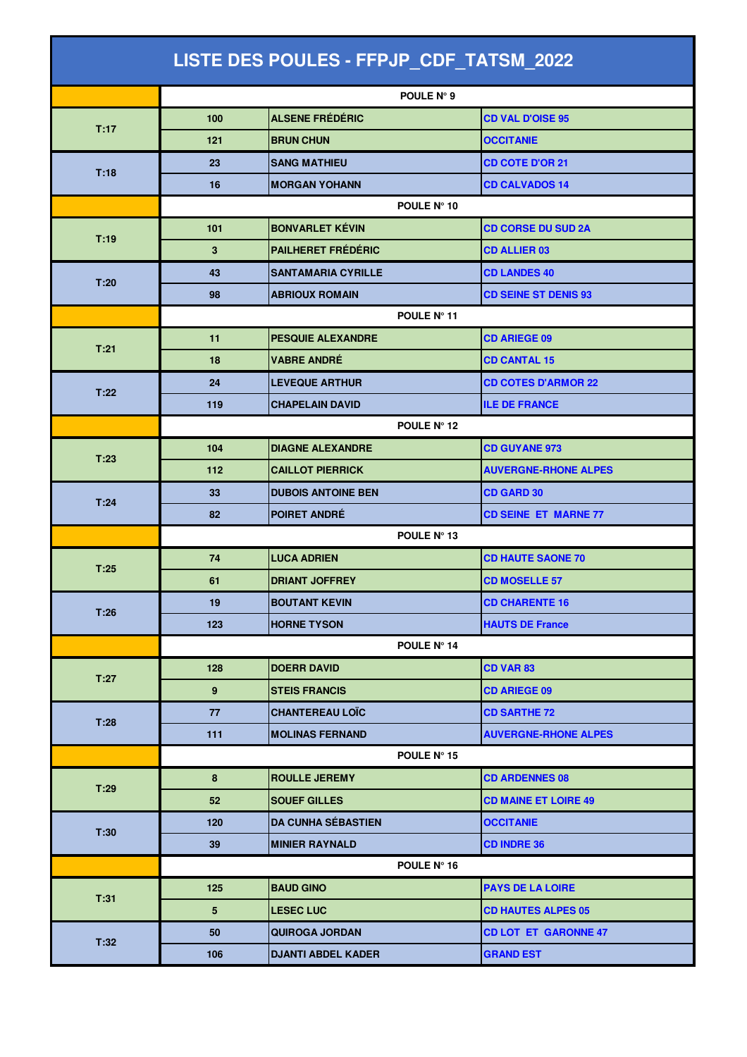| LISTE DES POULES - FFPJP_CDF_TATSM_2022 |                 |                           |                             |  |  |
|-----------------------------------------|-----------------|---------------------------|-----------------------------|--|--|
|                                         |                 | POULE N° 9                |                             |  |  |
| T:17                                    | 100             | <b>ALSENE FRÉDÉRIC</b>    | <b>CD VAL D'OISE 95</b>     |  |  |
|                                         | 121             | <b>BRUN CHUN</b>          | <b>OCCITANIE</b>            |  |  |
| T:18                                    | 23              | <b>SANG MATHIEU</b>       | <b>CD COTE D'OR 21</b>      |  |  |
|                                         | 16              | <b>MORGAN YOHANN</b>      | <b>CD CALVADOS 14</b>       |  |  |
|                                         | POULE N° 10     |                           |                             |  |  |
| T:19                                    | 101             | <b>BONVARLET KÉVIN</b>    | <b>CD CORSE DU SUD 2A</b>   |  |  |
|                                         | 3               | <b>PAILHERET FRÉDÉRIC</b> | <b>CD ALLIER 03</b>         |  |  |
| T:20                                    | 43              | <b>SANTAMARIA CYRILLE</b> | <b>CD LANDES 40</b>         |  |  |
|                                         | 98              | <b>ABRIOUX ROMAIN</b>     | <b>CD SEINE ST DENIS 93</b> |  |  |
|                                         |                 | POULE N° 11               |                             |  |  |
| T:21                                    | 11              | <b>PESQUIE ALEXANDRE</b>  | <b>CD ARIEGE 09</b>         |  |  |
|                                         | 18              | <b>VABRE ANDRÉ</b>        | <b>CD CANTAL 15</b>         |  |  |
| T:22                                    | 24              | <b>LEVEQUE ARTHUR</b>     | <b>CD COTES D'ARMOR 22</b>  |  |  |
|                                         | 119             | <b>CHAPELAIN DAVID</b>    | <b>ILE DE FRANCE</b>        |  |  |
|                                         | POULE N° 12     |                           |                             |  |  |
| T:23                                    | 104             | <b>DIAGNE ALEXANDRE</b>   | <b>CD GUYANE 973</b>        |  |  |
|                                         | 112             | <b>CAILLOT PIERRICK</b>   | <b>AUVERGNE-RHONE ALPES</b> |  |  |
| T:24                                    | 33              | <b>DUBOIS ANTOINE BEN</b> | <b>CD GARD 30</b>           |  |  |
|                                         | 82              | POIRET ANDRÉ              | <b>CD SEINE ET MARNE 77</b> |  |  |
|                                         | POULE N° 13     |                           |                             |  |  |
| T:25                                    | 74              | <b>LUCA ADRIEN</b>        | <b>CD HAUTE SAONE 70</b>    |  |  |
|                                         | 61              | <b>DRIANT JOFFREY</b>     | <b>CD MOSELLE 57</b>        |  |  |
| T:26                                    | 19              | <b>BOUTANT KEVIN</b>      | <b>CD CHARENTE 16</b>       |  |  |
|                                         | 123             | <b>HORNE TYSON</b>        | <b>HAUTS DE France</b>      |  |  |
|                                         |                 | POULE N° 14               |                             |  |  |
| T:27                                    | 128             | <b>DOERR DAVID</b>        | CD VAR 83                   |  |  |
|                                         | 9               | <b>STEIS FRANCIS</b>      | <b>CD ARIEGE 09</b>         |  |  |
| T:28                                    | 77              | <b>CHANTEREAU LOÏC</b>    | <b>CD SARTHE 72</b>         |  |  |
|                                         | 111             | <b>MOLINAS FERNAND</b>    | <b>AUVERGNE-RHONE ALPES</b> |  |  |
|                                         |                 | POULE N° 15               |                             |  |  |
| T:29                                    | 8               | <b>ROULLE JEREMY</b>      | <b>CD ARDENNES 08</b>       |  |  |
|                                         | 52              | <b>SOUEF GILLES</b>       | <b>CD MAINE ET LOIRE 49</b> |  |  |
| T:30                                    | 120             | <b>DA CUNHA SÉBASTIEN</b> | <b>OCCITANIE</b>            |  |  |
|                                         | 39              | <b>MINIER RAYNALD</b>     | <b>CD INDRE 36</b>          |  |  |
|                                         |                 | POULE $N^{\circ}$ 16      |                             |  |  |
| T:31                                    | 125             | <b>BAUD GINO</b>          | <b>PAYS DE LA LOIRE</b>     |  |  |
|                                         | $5\phantom{.0}$ | <b>LESEC LUC</b>          | <b>CD HAUTES ALPES 05</b>   |  |  |
| T:32                                    | 50              | <b>QUIROGA JORDAN</b>     | <b>CD LOT ET GARONNE 47</b> |  |  |
|                                         | 106             | <b>DJANTI ABDEL KADER</b> | <b>GRAND EST</b>            |  |  |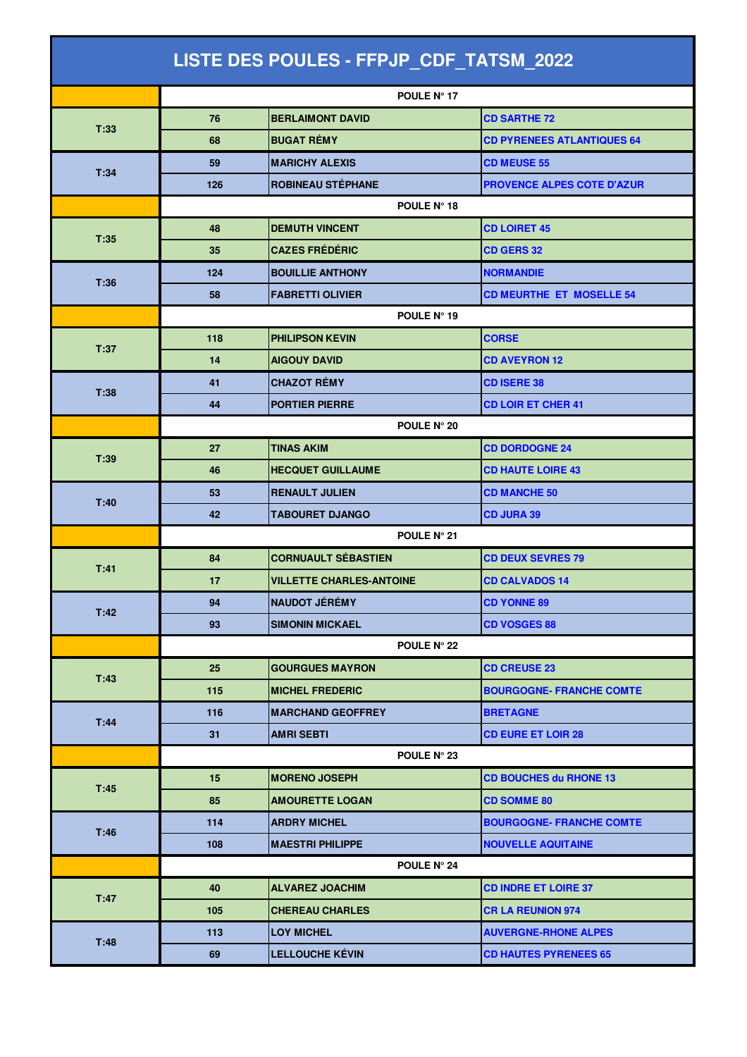| LISTE DES POULES - FFPJP_CDF_TATSM_2022 |             |                                 |                                   |  |  |
|-----------------------------------------|-------------|---------------------------------|-----------------------------------|--|--|
|                                         |             | POULE Nº 17                     |                                   |  |  |
| T:33                                    | 76          | <b>BERLAIMONT DAVID</b>         | <b>CD SARTHE 72</b>               |  |  |
|                                         | 68          | <b>BUGAT RÉMY</b>               | <b>CD PYRENEES ATLANTIQUES 64</b> |  |  |
|                                         | 59          | <b>MARICHY ALEXIS</b>           | <b>CD MEUSE 55</b>                |  |  |
| T:34                                    | 126         | <b>ROBINEAU STÉPHANE</b>        | <b>PROVENCE ALPES COTE D'AZUR</b> |  |  |
|                                         | POULE N° 18 |                                 |                                   |  |  |
|                                         | 48          | <b>DEMUTH VINCENT</b>           | <b>CD LOIRET 45</b>               |  |  |
| T:35                                    | 35          | <b>CAZES FRÉDÉRIC</b>           | <b>CD GERS 32</b>                 |  |  |
| T:36                                    | 124         | <b>BOUILLIE ANTHONY</b>         | <b>NORMANDIE</b>                  |  |  |
|                                         | 58          | <b>FABRETTI OLIVIER</b>         | <b>CD MEURTHE ET MOSELLE 54</b>   |  |  |
|                                         | POULE N° 19 |                                 |                                   |  |  |
| T:37                                    | 118         | <b>PHILIPSON KEVIN</b>          | <b>CORSE</b>                      |  |  |
|                                         | 14          | <b>AIGOUY DAVID</b>             | <b>CD AVEYRON 12</b>              |  |  |
| T:38                                    | 41          | <b>CHAZOT RÉMY</b>              | <b>CD ISERE 38</b>                |  |  |
|                                         | 44          | <b>PORTIER PIERRE</b>           | <b>CD LOIR ET CHER 41</b>         |  |  |
|                                         | POULE N° 20 |                                 |                                   |  |  |
| T:39                                    | 27          | <b>TINAS AKIM</b>               | <b>CD DORDOGNE 24</b>             |  |  |
|                                         | 46          | <b>HECQUET GUILLAUME</b>        | <b>CD HAUTE LOIRE 43</b>          |  |  |
| T:40                                    | 53          | <b>RENAULT JULIEN</b>           | <b>CD MANCHE 50</b>               |  |  |
|                                         | 42          | <b>TABOURET DJANGO</b>          | <b>CD JURA 39</b>                 |  |  |
|                                         | POULE N° 21 |                                 |                                   |  |  |
| T:41                                    | 84          | <b>CORNUAULT SÉBASTIEN</b>      | <b>CD DEUX SEVRES 79</b>          |  |  |
|                                         | 17          | <b>VILLETTE CHARLES-ANTOINE</b> | <b>CD CALVADOS 14</b>             |  |  |
| T:42                                    | 94          | <b>NAUDOT JÉRÉMY</b>            | <b>CD YONNE 89</b>                |  |  |
|                                         | 93          | <b>SIMONIN MICKAEL</b>          | <b>CD VOSGES 88</b>               |  |  |
|                                         | POULE N° 22 |                                 |                                   |  |  |
| T:43                                    | 25          | <b>GOURGUES MAYRON</b>          | <b>CD CREUSE 23</b>               |  |  |
|                                         | 115         | <b>MICHEL FREDERIC</b>          | <b>BOURGOGNE- FRANCHE COMTE</b>   |  |  |
|                                         | 116         | <b>MARCHAND GEOFFREY</b>        | <b>BRETAGNE</b>                   |  |  |
| T:44                                    | 31          | <b>AMRI SEBTI</b>               | <b>CD EURE ET LOIR 28</b>         |  |  |
|                                         |             | POULE N° 23                     |                                   |  |  |
| T:45                                    | 15          | <b>MORENO JOSEPH</b>            | <b>CD BOUCHES du RHONE 13</b>     |  |  |
|                                         | 85          | <b>AMOURETTE LOGAN</b>          | <b>CD SOMME 80</b>                |  |  |
| T:46                                    | 114         | <b>ARDRY MICHEL</b>             | <b>BOURGOGNE- FRANCHE COMTE</b>   |  |  |
|                                         | 108         | <b>MAESTRI PHILIPPE</b>         | <b>NOUVELLE AQUITAINE</b>         |  |  |
|                                         |             | POULE N° 24                     |                                   |  |  |
| T:47                                    | 40          | <b>ALVAREZ JOACHIM</b>          | <b>CD INDRE ET LOIRE 37</b>       |  |  |
|                                         | 105         | <b>CHEREAU CHARLES</b>          | <b>CR LA REUNION 974</b>          |  |  |
| T:48                                    | 113         | <b>LOY MICHEL</b>               | <b>AUVERGNE-RHONE ALPES</b>       |  |  |
|                                         | 69          | <b>LELLOUCHE KÉVIN</b>          | <b>CD HAUTES PYRENEES 65</b>      |  |  |